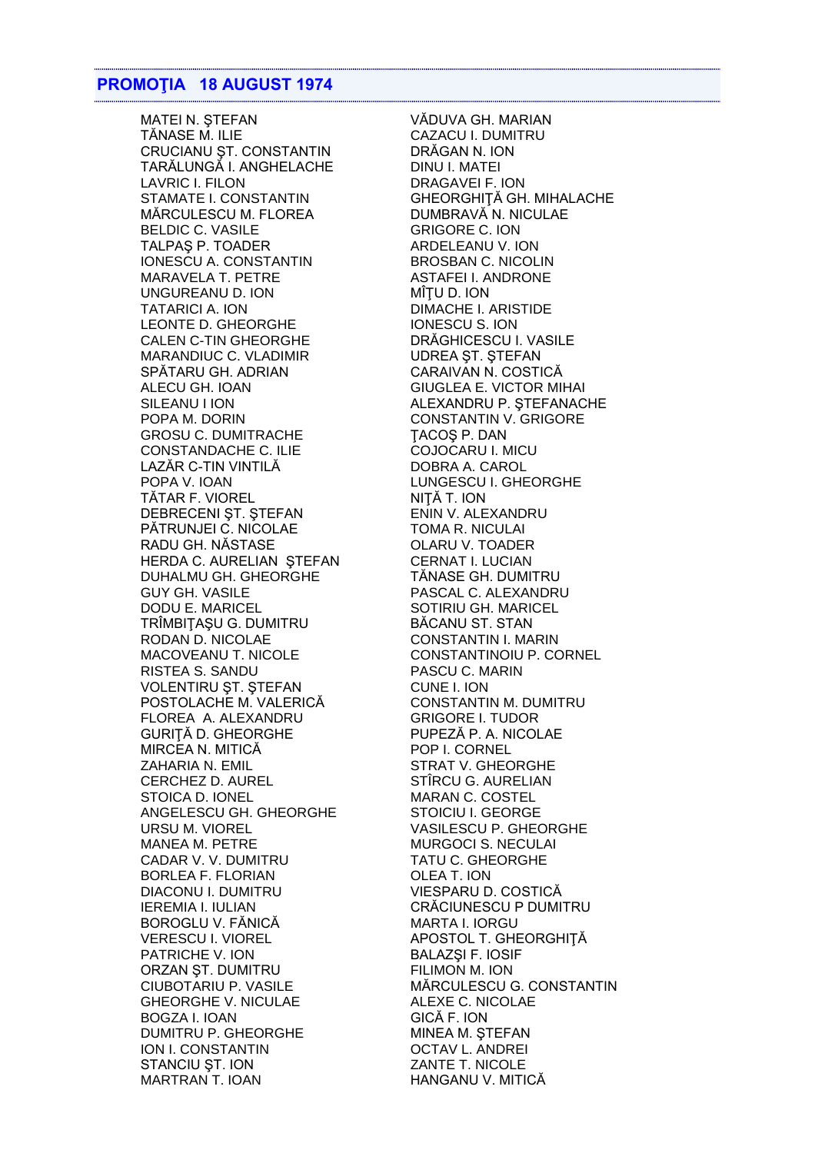## **PROMOTIA 18 AUGUST 1974**

**MATEI N. STEFAN** TĂNASE M. ILIE CRUCIANU ȘT. CONSTANTIN TARÁLUNGÁ I. ANGHELACHE **LAVRIC I. FILON STAMATE I. CONSTANTIN** MĂRCULESCU M. FLOREA **BELDIC C. VASILE** TALPAŞ P. TOADER IONESCU A. CONSTANTIN MARAVELA T. PETRE UNGUREANU D. ION **TATARICI A. ION** LEONTE D. GHEORGHE **CALEN C-TIN GHEORGHE** MARANDIUC C. VLADIMIR SPĂTARU GH. ADRIAN ALECU GH. IOAN SILEANU I ION POPA M. DORIN **GROSU C. DUMITRACHE CONSTANDACHE C. ILIE** LAZĂR C-TIN VINTILĂ POPA V. IOAN TĂTAR F. VIOREL DEBRECENI ȘT. ȘTEFAN PĂTRUNJEI C. NICOLAE RADU GH. NĂSTASE HERDA C. AURELIAN STEFAN DUHALMU GH. GHEORGHE **GUY GH. VASILE DODU E. MARICEL** TRÎMBIȚAȘU G. DUMITRU RODAN D. NICOLAE MACOVEANU T. NICOLE **RISTEA S. SANDU VOLENTIRU ST. STEFAN** POSTOLACHE M. VALERICĂ FLOREA A. ALEXANDRU GURITĂ D. GHEORGHE MIRCEA N. MITICĂ ZAHARIA N. EMIL CERCHEZ D. AUREL STOICA D. IONEL ANGELESCU GH. GHEORGHE **URSU M. VIOREL MANEA M. PETRE** CADAR V. V. DUMITRU **BORLEA F. FLORIAN DIACONU I. DUMITRU IEREMIA I. IULIAN** BOROGLU V. FĂNICĂ **VERESCU I. VIOREL** PATRICHE V. ION ORZAN ȘT. DUMITRU CIUBOTARIU P. VASILE **GHEORGHE V. NICULAE BOGZA I. IOAN DUMITRU P. GHEORGHE** ION I. CONSTANTIN STANCIU ST. ION **MARTRAN T. IOAN** 

VĂDUVA GH. MARIAN **CAZACU I. DUMITRU** DRĂGAN N. ION DINU I. MATEI DRAGAVEI F. ION GHEORGHITĂ GH. MIHALACHE DUMBRAVĂ N. NICULAE **GRIGORE C. ION** ARDELEANU V. ION **BROSBAN C. NICOLIN ASTAFEI I. ANDRONE** MÎTU D. ION **DIMACHE I. ARISTIDE** IONESCU S. ION DRĂGHICESCU I. VASILE **UDREA ST. STEFAN** CARAIVAN N. COSTICĂ **GIUGLEA E. VICTOR MIHAI** ALEXANDRU P. STEFANACHE **CONSTANTIN V. GRIGORE** TACOS P. DAN COJOCARU I. MICU DOBRA A. CAROL **LUNGESCU I. GHEORGHE** NITA T. ION ENIN V. ALEXANDRU **TOMA R. NICULAI** OLARU V. TOADER **CERNAT I. LUCIAN** TĂNASE GH. DUMITRU PASCAL C. ALEXANDRU SOTIRIU GH. MARICEL **BĂCANU ST. STAN CONSTANTIN I. MARIN** CONSTANTINOIU P. CORNEL PASCU C. MARIN CUNE I. ION **CONSTANTIN M. DUMITRU GRIGORE I. TUDOR** PUPEZĂ P. A. NICOLAE POP I. CORNEL **STRAT V. GHEORGHE** STÎRCU G. AURELIAN **MARAN C. COSTEL STOICIU I. GEORGE** VASILESCU P. GHEORGHE **MURGOCI S. NECULAI** TATU C. GHEORGHE OLEA T. ION VIESPARU D. COSTICĂ CRĂCIUNESCU P DUMITRU **MARTA I. IORGU** APOSTOL T. GHEORGHITĂ **BALAZŞI F. IOSIF** FILIMON M. ION MĂRCULESCU G. CONSTANTIN **ALEXE C. NICOLAE** GICĂ F. ION MINEA M. STEFAN **OCTAV L. ANDREI** ZANTE T. NICOLE HANGANU V. MITICĂ